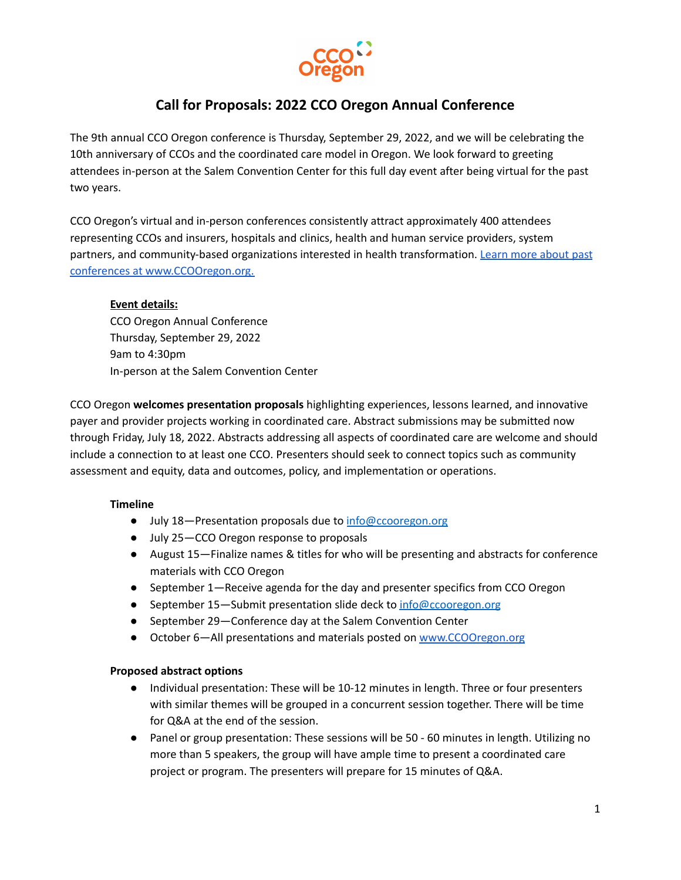

# **Call for Proposals: 2022 CCO Oregon Annual Conference**

The 9th annual CCO Oregon conference is Thursday, September 29, 2022, and we will be celebrating the 10th anniversary of CCOs and the coordinated care model in Oregon. We look forward to greeting attendees in-person at the Salem Convention Center for this full day event after being virtual for the past two years.

CCO Oregon's virtual and in-person conferences consistently attract approximately 400 attendees representing CCOs and insurers, hospitals and clinics, health and human service providers, system partners, and community-based organizations interested in health transformation. Learn more [about](https://ccooregon.org/annual-conference/) past conferences at [www.CCOOregon.org.](https://ccooregon.org/annual-conference/)

## **Event details:**

CCO Oregon Annual Conference Thursday, September 29, 2022 9am to 4:30pm In-person at the Salem Convention Center

CCO Oregon **welcomes presentation proposals** highlighting experiences, lessons learned, and innovative payer and provider projects working in coordinated care. Abstract submissions may be submitted now through Friday, July 18, 2022. Abstracts addressing all aspects of coordinated care are welcome and should include a connection to at least one CCO. Presenters should seek to connect topics such as community assessment and equity, data and outcomes, policy, and implementation or operations.

#### **Timeline**

- July 18–Presentation proposals due to [info@ccooregon.org](mailto:info@ccooregon.org)
- July 25 CCO Oregon response to proposals
- August 15—Finalize names & titles for who will be presenting and abstracts for conference materials with CCO Oregon
- September 1—Receive agenda for the day and presenter specifics from CCO Oregon
- September 15–Submit presentation slide deck to [info@ccooregon.org](mailto:info@ccooregon.org)
- September 29–Conference day at the Salem Convention Center
- October 6—All presentations and materials posted on [www.CCOOregon.org](http://www.ccooregon.org)

#### **Proposed abstract options**

- Individual presentation: These will be 10-12 minutes in length. Three or four presenters with similar themes will be grouped in a concurrent session together. There will be time for Q&A at the end of the session.
- Panel or group presentation: These sessions will be 50 60 minutes in length. Utilizing no more than 5 speakers, the group will have ample time to present a coordinated care project or program. The presenters will prepare for 15 minutes of Q&A.